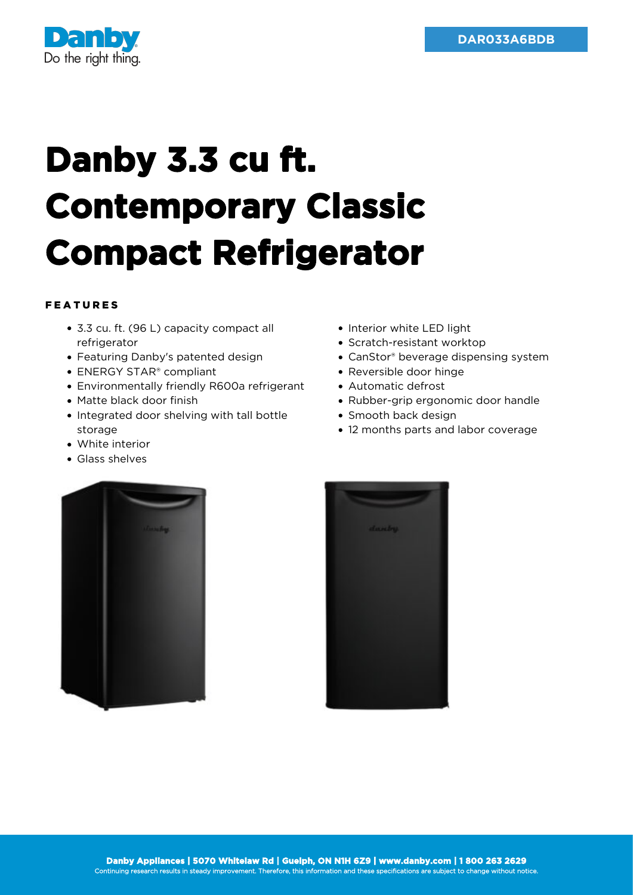

## **Danby 3.3 cu ft. Contemporary Classic Compact Refrigerator**

## FEATURES

- 3.3 cu. ft. (96 L) capacity compact all refrigerator
- Featuring Danby's patented design
- ENERGY STAR® compliant
- Environmentally friendly R600a refrigerant
- Matte black door finish
- Integrated door shelving with tall bottle storage
- White interior
- Glass shelves
- Interior white LED light
- Scratch-resistant worktop
- CanStor® beverage dispensing system
- Reversible door hinge
- Automatic defrost
- Rubber-grip ergonomic door handle
- Smooth back design
- 12 months parts and labor coverage